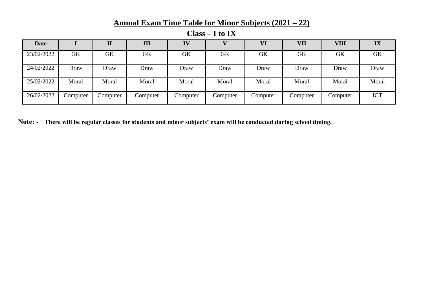## **Annual Exam Time Table for Minor Subjects (2021 – 22)**

| <b>Date</b> |           |           | III       | IV        |           | VI        | VII       | VIII      | IX         |
|-------------|-----------|-----------|-----------|-----------|-----------|-----------|-----------|-----------|------------|
| 23/02/2022  | <b>GK</b> | <b>GK</b> | <b>GK</b> | <b>GK</b> | <b>GK</b> | <b>GK</b> | <b>GK</b> | <b>GK</b> | GK         |
| 24/02/2022  | Draw      | Draw      | Draw      | Draw      | Draw      | Draw      | Draw      | Draw      | Draw       |
| 25/02/2022  | Moral     | Moral     | Moral     | Moral     | Moral     | Moral     | Moral     | Moral     | Moral      |
| 26/02/2022  | Computer  | Computer  | Computer  | Computer  | Computer  | Computer  | Computer  | Computer  | <b>ICT</b> |

**Class – I to IX**

**Note: - There will be regular classes for students and minor subjects' exam will be conducted during school timing.**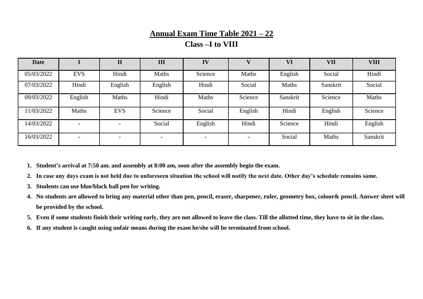## **Annual Exam Time Table 2021 – 22**

## **Class –I to VIII**

| <b>Date</b> |                          | $\overline{\bf II}$      | III                      | IV                       |         | VI       | VII      | <b>VIII</b> |
|-------------|--------------------------|--------------------------|--------------------------|--------------------------|---------|----------|----------|-------------|
| 05/03/2022  | <b>EVS</b>               | Hindi                    | Maths                    | Science                  | Maths   | English  | Social   | Hindi       |
| 07/03/2022  | Hindi                    | English                  | English                  | Hindi                    | Social  | Maths    | Sanskrit | Social      |
| 09/03/2022  | English                  | Maths                    | Hindi                    | Maths                    | Science | Sanskrit | Science  | Maths       |
| 11/03/2022  | Maths                    | <b>EVS</b>               | Science                  | Social                   | English | Hindi    | English  | Science     |
| 14/03/2022  | $\overline{\phantom{0}}$ | $\overline{\phantom{0}}$ | Social                   | English                  | Hindi   | Science  | Hindi    | English     |
| 16/03/2022  | $\overline{\phantom{0}}$ | $\overline{\phantom{0}}$ | $\overline{\phantom{0}}$ | $\overline{\phantom{0}}$ |         | Social   | Maths    | Sanskrit    |

**1. Student's arrival at 7:50 am. and assembly at 8:00 am, soon after the assembly begin the exam.** 

**2. In case any days exam is not held due to unforeseen situation the school will notify the next date. Other day's schedule remains same.**

- **3. Students can use blue/black ball pen for writing.**
- **4. No students are allowed to bring any material other than pen, pencil, eraser, sharpener, ruler, geometry box, colour& pencil. Answer sheet will be provided by the school.**
- **5. Even if some students finish their writing early, they are not allowed to leave the class. Till the allotted time, they have to sit in the class.**
- **6. If any student is caught using unfair means during the exam he/she will be terminated from school.**